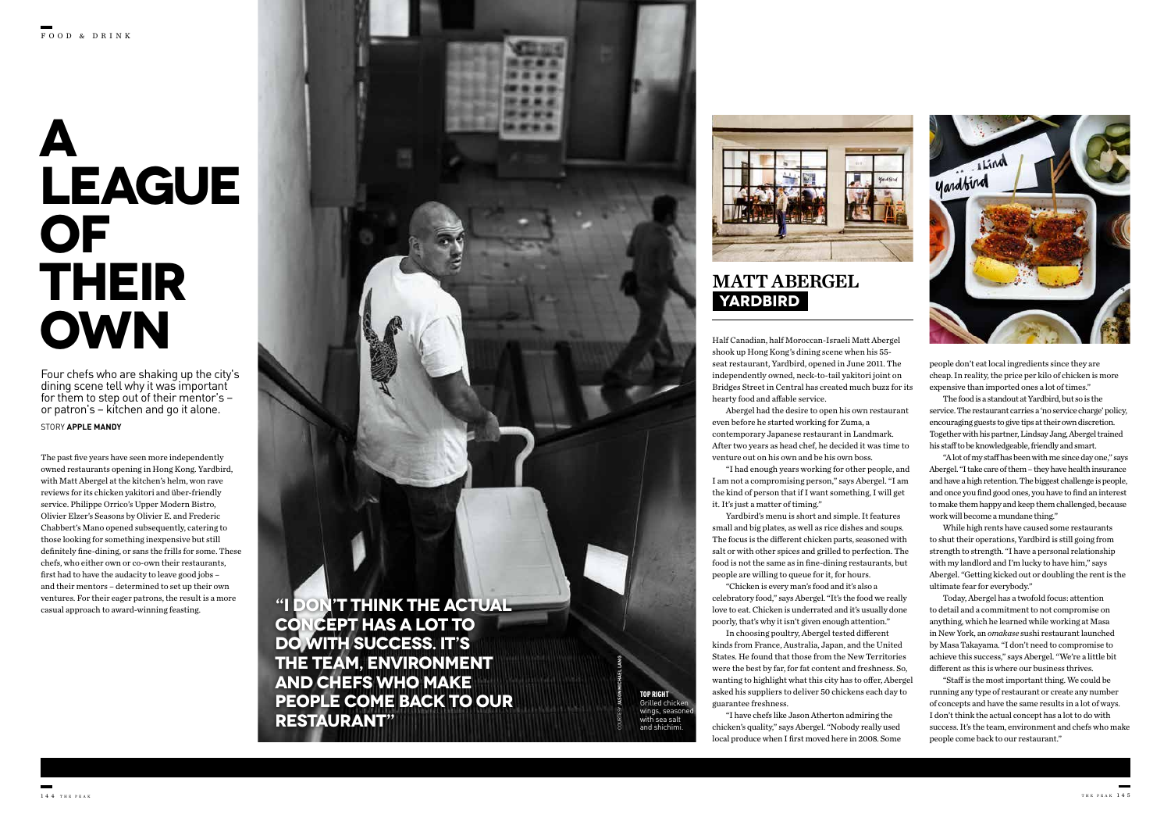Half Canadian, half Moroccan-Israeli Matt Abergel shook up Hong Kong's dining scene when his 55 seat restaurant, Yardbird, opened in June 2011. The independently owned, neck-to-tail yakitori joint on Bridges Street in Central has created much buzz for its hearty food and affable service.

Abergel had the desire to open his own restaurant even before he started working for Zuma, a contemporary Japanese restaurant in Landmark. After two years as head chef, he decided it was time to venture out on his own and be his own boss.

"I had enough years working for other people, and I am not a compromising person," says Abergel. "I am the kind of person that if I want something, I will get it. It's just a matter of timing."

Yardbird's menu is short and simple. It features small and big plates, as well as rice dishes and soups. The focus is the different chicken parts, seasoned with salt or with other spices and grilled to perfection. The food is not the same as in fine-dining restaurants, but people are willing to queue for it, for hours.

# **A LEAGUE OF THEIR OWN**

"Chicken is every man's food and it's also a celebratory food," says Abergel. "It's the food we really love to eat. Chicken is underrated and it's usually done poorly, that's why it isn't given enough attention."

In choosing poultry, Abergel tested different kinds from France, Australia, Japan, and the United States. He found that those from the New Territories were the best by far, for fat content and freshness. So, wanting to highlight what this city has to offer, Abergel asked his suppliers to deliver 50 chickens each day to guarantee freshness.

"I have chefs like Jason Atherton admiring the chicken's quality," says Abergel. "Nobody really used local produce when I first moved here in 2008. Some

STORY **APPLE MANDY**

Four chefs who are shaking up the city's dining scene tell why it was important for them to step out of their mentor's – or patron's – kitchen and go it alone.

> **ON'T THINK THE ACTUAL CONCEPT HAS A LOT TO DO WITH SUCCESS. IT'S THE TEAM, ENVIRONMENT AND CHEFS WHO MAKE PEOPLE COME BACK TO OUR RESTAURANT"**



The past five years have seen more independently owned restaurants opening in Hong Kong. Yardbird, with Matt Abergel at the kitchen's helm, won rave reviews for its chicken yakitori and über-friendly service. Philippe Orrico's Upper Modern Bistro, Olivier Elzer's Seasons by Olivier E. and Frederic Chabbert's Mano opened subsequently, catering to those looking for something inexpensive but still definitely fine-dining, or sans the frills for some. These chefs, who either own or co-own their restaurants, first had to have the audacity to leave good jobs – and their mentors – determined to set up their own ventures. For their eager patrons, the result is a more casual approach to award-winning feasting.

people don't eat local ingredients since they are cheap. In reality, the price per kilo of chicken is more expensive than imported ones a lot of times."

The food is a standout at Yardbird, but so is the service. The restaurant carries a 'no service charge' policy, encouraging guests to give tips at their own discretion. Together with his partner, Lindsay Jang, Abergel trained his staff to be knowledgeable, friendly and smart.

"A lot of my staff has been with me since day one," says Abergel. "I take care of them – they have health insurance and have a high retention. The biggest challenge is people, and once you find good ones, you have to find an interest to make them happy and keep them challenged, because work will become a mundane thing."

While high rents have caused some restaurants to shut their operations, Yardbird is still going from strength to strength. "I have a personal relationship with my landlord and I'm lucky to have him," says Abergel. "Getting kicked out or doubling the rent is the ultimate fear for everybody."

Today, Abergel has a twofold focus: attention to detail and a commitment to not compromise on anything, which he learned while working at Masa in New York, an *omakase* sushi restaurant launched by Masa Takayama. "I don't need to compromise to achieve this success," says Abergel. "We're a little bit different as this is where our business thrives.

"Staff is the most important thing. We could be running any type of restaurant or create any number of concepts and have the same results in a lot of ways. I don't think the actual concept has a lot to do with success. It's the team, environment and chefs who make people come back to our restaurant."

# **YARDBIRD** MATT ABERGEL

COURTESY **JASON MICHAEL LANG**

TOP RIGHT Grilled chicken wings, season with sea salt and shichimi.



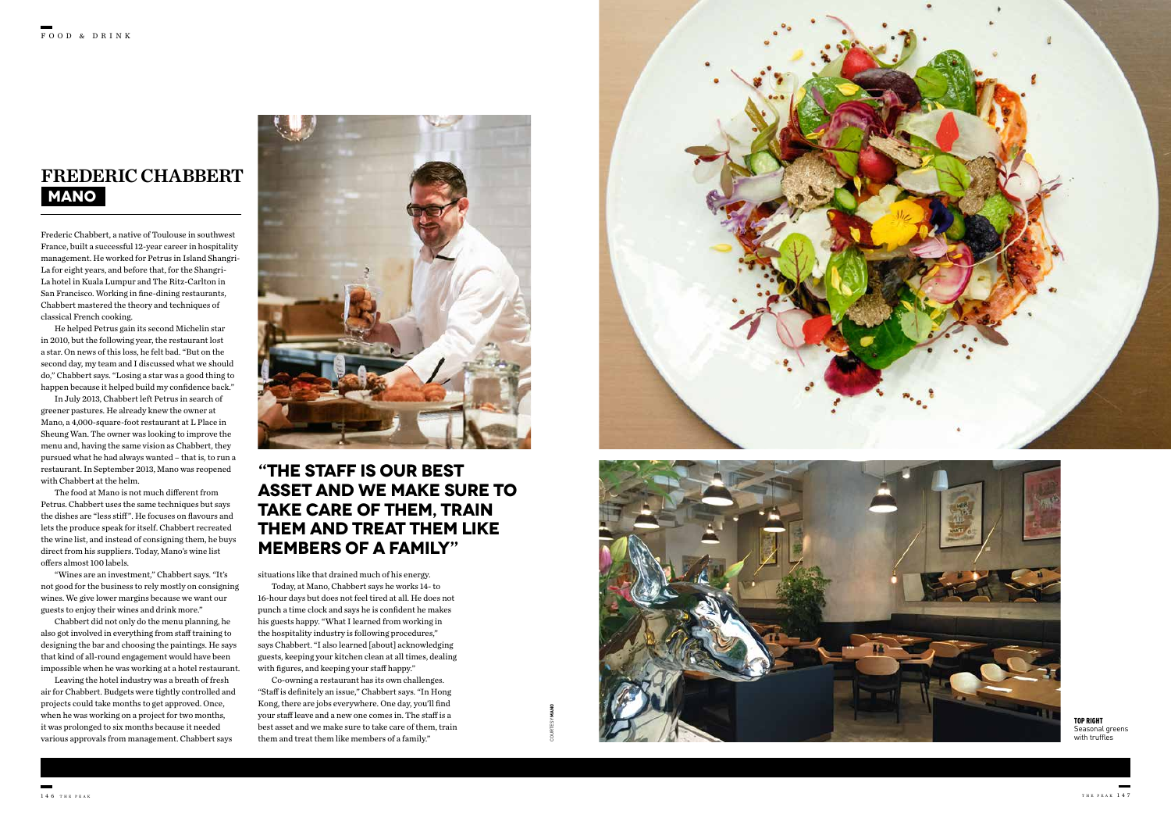Frederic Chabbert, a native of Toulouse in southwest France, built a successful 12-year career in hospitality management. He worked for Petrus in Island Shangri-La for eight years, and before that, for the Shangri-La hotel in Kuala Lumpur and The Ritz-Carlton in San Francisco. Working in fine-dining restaurants, Chabbert mastered the theory and techniques of classical French cooking.

He helped Petrus gain its second Michelin star in 2010, but the following year, the restaurant lost a star. On news of this loss, he felt bad. "But on the second day, my team and I discussed what we should do," Chabbert says. "Losing a star was a good thing to happen because it helped build my confidence back."

In July 2013, Chabbert left Petrus in search of greener pastures. He already knew the owner at Mano, a 4,000-square-foot restaurant at L Place in Sheung Wan. The owner was looking to improve the menu and, having the same vision as Chabbert, they pursued what he had always wanted – that is, to run a restaurant. In September 2013, Mano was reopened with Chabbert at the helm.

The food at Mano is not much different from Petrus. Chabbert uses the same techniques but says the dishes are "less stiff". He focuses on flavours and lets the produce speak for itself. Chabbert recreated the wine list, and instead of consigning them, he buys direct from his suppliers. Today, Mano's wine list offers almost 100 labels.

"Wines are an investment," Chabbert says. "It's not good for the business to rely mostly on consigning wines. We give lower margins because we want our guests to enjoy their wines and drink more."

> TOP RIGHT Seasonal greens with truffles

Chabbert did not only do the menu planning, he also got involved in everything from staff training to designing the bar and choosing the paintings. He says that kind of all-round engagement would have been impossible when he was working at a hotel restaurant.

Leaving the hotel industry was a breath of fresh air for Chabbert. Budgets were tightly controlled and projects could take months to get approved. Once, when he was working on a project for two months, it was prolonged to six months because it needed various approvals from management. Chabbert says

situations like that drained much of his energy.

Today, at Mano, Chabbert says he works 14- to 16-hour days but does not feel tired at all. He does not punch a time clock and says he is confident he makes his guests happy. "What I learned from working in the hospitality industry is following procedures," says Chabbert. "I also learned [about] acknowledging guests, keeping your kitchen clean at all times, dealing with figures, and keeping your staff happy."

Co-owning a restaurant has its own challenges. "Staff is definitely an issue," Chabbert says. "In Hong Kong, there are jobs everywhere. One day, you'll find your staff leave and a new one comes in. The staff is a best asset and we make sure to take care of them, train them and treat them like members of a family."





### **MANO** FREDERIC CHABBERT



COURTESY **MANO**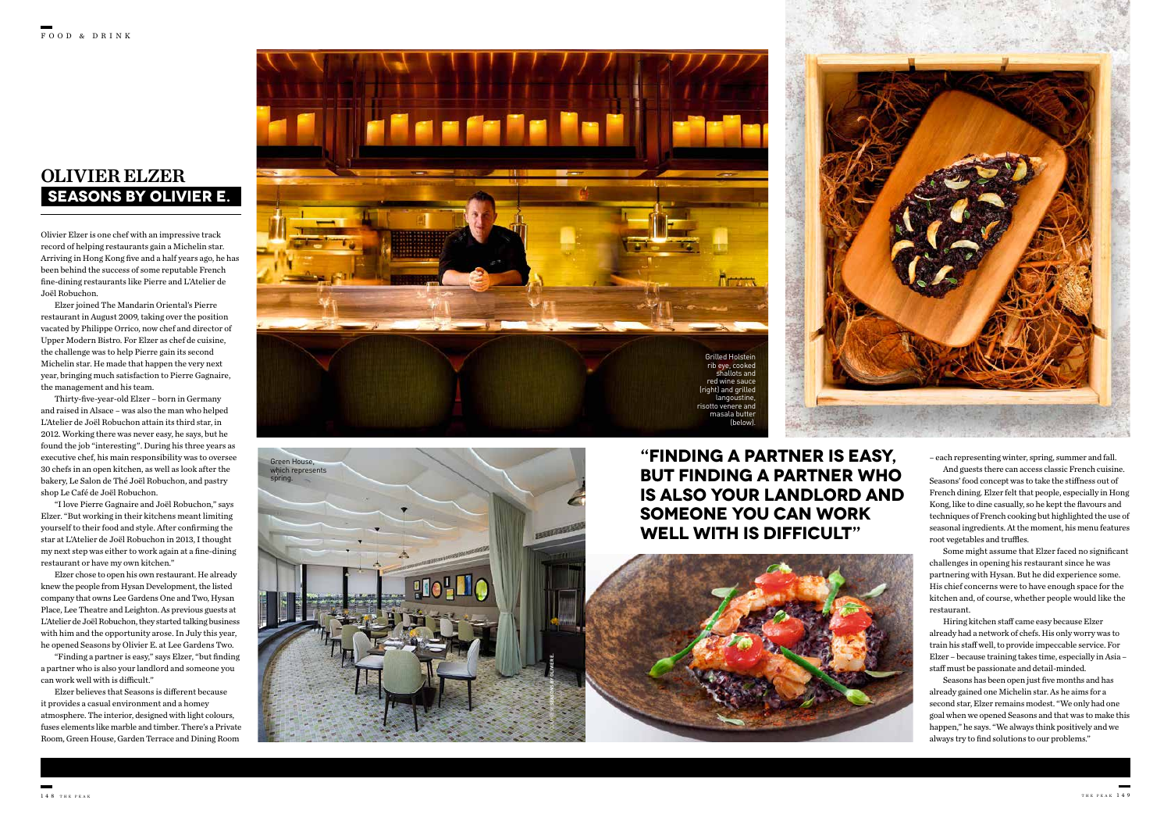Olivier Elzer is one chef with an impressive track record of helping restaurants gain a Michelin star. Arriving in Hong Kong five and a half years ago, he has been behind the success of some reputable French fine-dining restaurants like Pierre and L'Atelier de Joël Robuchon.

Elzer joined The Mandarin Oriental's Pierre restaurant in August 2009, taking over the position vacated by Philippe Orrico, now chef and director of Upper Modern Bistro. For Elzer as chef de cuisine, the challenge was to help Pierre gain its second Michelin star. He made that happen the very next year, bringing much satisfaction to Pierre Gagnaire, the management and his team.

Thirty-five-year-old Elzer – born in Germany and raised in Alsace – was also the man who helped L'Atelier de Joël Robuchon attain its third star, in 2012. Working there was never easy, he says, but he found the job "interesting". During his three years as executive chef, his main responsibility was to oversee 30 chefs in an open kitchen, as well as look after the bakery, Le Salon de Thé Joël Robuchon, and pastry shop Le Café de Joël Robuchon.

"I love Pierre Gagnaire and Joël Robuchon," says Elzer. "But working in their kitchens meant limiting yourself to their food and style. After confirming the star at L'Atelier de Joël Robuchon in 2013, I thought my next step was either to work again at a fine-dining restaurant or have my own kitchen."

Elzer chose to open his own restaurant. He already knew the people from Hysan Development, the listed company that owns Lee Gardens One and Two, Hysan Place, Lee Theatre and Leighton. As previous guests at L'Atelier de Joël Robuchon, they started talking business with him and the opportunity arose. In July this year, he opened Seasons by Olivier E. at Lee Gardens Two.

"Finding a partner is easy," says Elzer, "but finding a partner who is also your landlord and someone you can work well with is difficult."

Elzer believes that Seasons is different because it provides a casual environment and a homey atmosphere. The interior, designed with light colours, fuses elements like marble and timber. There's a Private Room, Green House, Garden Terrace and Dining Room

## **SEASONS BY OLIVIER E.**  OLIVIER ELZER

**"FINDING A PARTNER IS EASY, BUT FINDING A PARTNER WHO IS ALSO YOUR LANDLORD AND SOMEONE YOU CAN WORK WELL WITH IS DIFFICULT"**





– each representing winter, spring, summer and fall. And guests there can access classic French cuisine.

Seasons' food concept was to take the stiffness out of French dining. Elzer felt that people, especially in Hong Kong, like to dine casually, so he kept the flavours and techniques of French cooking but highlighted the use of seasonal ingredients. At the moment, his menu features root vegetables and truffles.

Some might assume that Elzer faced no significant challenges in opening his restaurant since he was partnering with Hysan. But he did experience some. His chief concerns were to have enough space for the kitchen and, of course, whether people would like the restaurant.

Hiring kitchen staff came easy because Elzer already had a network of chefs. His only worry was to train his staff well, to provide impeccable service. For Elzer – because training takes time, especially in Asia – staff must be passionate and detail-minded.

Seasons has been open just five months and has already gained one Michelin star. As he aims for a second star, Elzer remains modest. "We only had one goal when we opened Seasons and that was to make this happen," he says. "We always think positively and we always try to find solutions to our problems."